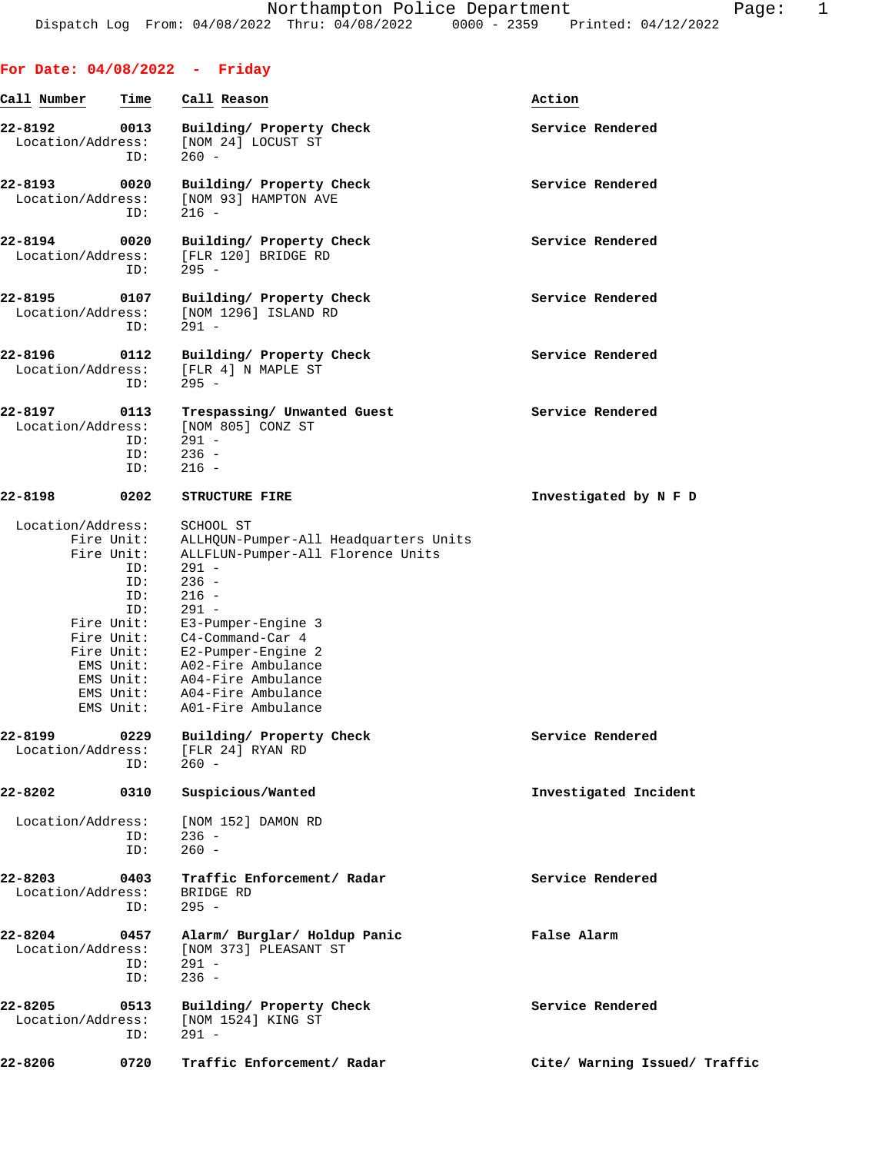## **For Date: 04/08/2022 - Friday**

| Call Number                  | Time                                                                                                                                    | Call Reason                                                                                                                                                                                                                                                                                           | Action                        |
|------------------------------|-----------------------------------------------------------------------------------------------------------------------------------------|-------------------------------------------------------------------------------------------------------------------------------------------------------------------------------------------------------------------------------------------------------------------------------------------------------|-------------------------------|
| 22-8192<br>Location/Address: | 0013<br>ID:                                                                                                                             | Building/ Property Check<br>[NOM 24] LOCUST ST<br>$260 -$                                                                                                                                                                                                                                             | Service Rendered              |
| 22-8193<br>Location/Address: | 0020<br>ID:                                                                                                                             | Building/ Property Check<br>[NOM 93] HAMPTON AVE<br>$216 -$                                                                                                                                                                                                                                           | Service Rendered              |
| 22-8194<br>Location/Address: | 0020<br>ID:                                                                                                                             | Building/ Property Check<br>[FLR 120] BRIDGE RD<br>$295 -$                                                                                                                                                                                                                                            | Service Rendered              |
| 22-8195<br>Location/Address: | 0107<br>ID:                                                                                                                             | Building/ Property Check<br>[NOM 1296] ISLAND RD<br>$291 -$                                                                                                                                                                                                                                           | Service Rendered              |
| 22-8196<br>Location/Address: | 0112<br>ID:                                                                                                                             | Building/ Property Check<br>[FLR 4] N MAPLE ST<br>$295 -$                                                                                                                                                                                                                                             | Service Rendered              |
| 22-8197<br>Location/Address: | 0113<br>ID:<br>ID:<br>ID:                                                                                                               | Trespassing/ Unwanted Guest<br>[NOM 805] CONZ ST<br>$291 -$<br>$236 -$<br>$216 -$                                                                                                                                                                                                                     | Service Rendered              |
| 22-8198                      | 0202                                                                                                                                    | <b>STRUCTURE FIRE</b>                                                                                                                                                                                                                                                                                 | Investigated by N F D         |
| Location/Address:            | Fire Unit:<br>Fire Unit:<br>ID:<br>ID:<br>ID:<br>ID:<br>Fire Unit:<br>Fire Unit:<br>Fire Unit:<br>EMS Unit:<br>EMS Unit:<br>$ENS$ Unit: | SCHOOL ST<br>ALLHQUN-Pumper-All Headquarters Units<br>ALLFLUN-Pumper-All Florence Units<br>$291 -$<br>$236 -$<br>$216 -$<br>$291 -$<br>E3-Pumper-Engine 3<br>C4-Command-Car 4<br>E2-Pumper-Engine 2<br>EMS Unit: A02-Fire Ambulance<br>A04-Fire Ambulance<br>A04-Fire Ambulance<br>A01-Fire Ambulance |                               |
| 22-8199<br>Location/Address: | 0229<br>ID:                                                                                                                             | Building/ Property Check<br>[FLR 24] RYAN RD<br>$260 -$                                                                                                                                                                                                                                               | Service Rendered              |
| 22-8202                      | 0310                                                                                                                                    | Suspicious/Wanted                                                                                                                                                                                                                                                                                     | Investigated Incident         |
| Location/Address:            | ID:<br>ID:                                                                                                                              | [NOM 152] DAMON RD<br>$236 -$<br>$260 -$                                                                                                                                                                                                                                                              |                               |
| 22-8203<br>Location/Address: | 0403<br>ID:                                                                                                                             | Traffic Enforcement/ Radar<br>BRIDGE RD<br>$295 -$                                                                                                                                                                                                                                                    | Service Rendered              |
| 22-8204<br>Location/Address: | 0457<br>ID:<br>ID:                                                                                                                      | Alarm/ Burglar/ Holdup Panic<br>[NOM 373] PLEASANT ST<br>$291 -$<br>$236 -$                                                                                                                                                                                                                           | False Alarm                   |
| 22-8205<br>Location/Address: | 0513<br>ID:                                                                                                                             | Building/ Property Check<br>[NOM 1524] KING ST<br>$291 -$                                                                                                                                                                                                                                             | Service Rendered              |
| 22-8206                      | 0720                                                                                                                                    | Traffic Enforcement/ Radar                                                                                                                                                                                                                                                                            | Cite/ Warning Issued/ Traffic |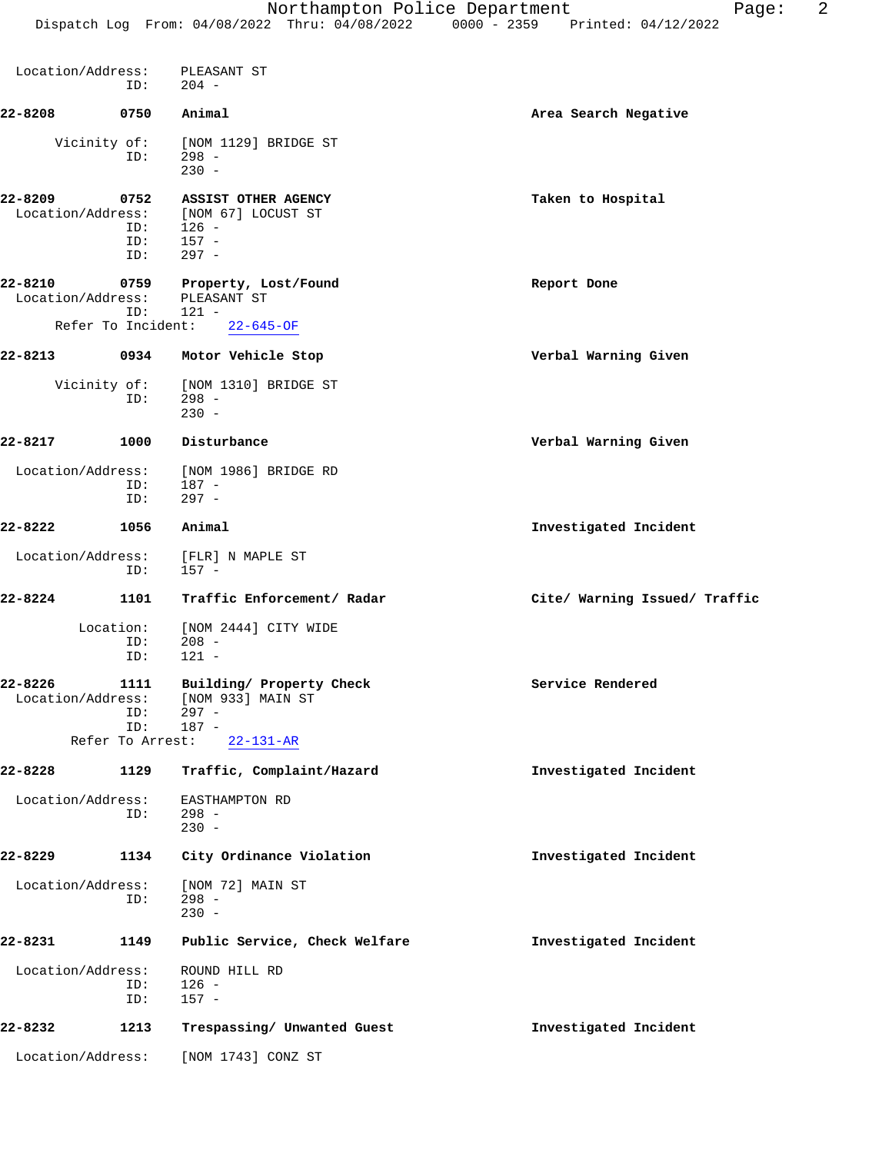| Location/Address:            | ID:                                    | PLEASANT ST<br>$204 -$                                                                 |                               |
|------------------------------|----------------------------------------|----------------------------------------------------------------------------------------|-------------------------------|
| 22-8208                      | 0750                                   | Animal                                                                                 | Area Search Negative          |
|                              | Vicinity of:<br>ID:                    | [NOM 1129] BRIDGE ST<br>$298 -$<br>$230 -$                                             |                               |
| 22-8209<br>Location/Address: | 0752<br>ID:<br>ID:<br>ID:              | ASSIST OTHER AGENCY<br>[NOM 67] LOCUST ST<br>$126 -$<br>$157 -$<br>$297 -$             | Taken to Hospital             |
| 22-8210<br>Location/Address: | 0759                                   | Property, Lost/Found<br>PLEASANT ST                                                    | Report Done                   |
|                              | ID:                                    | $121 -$<br>Refer To Incident: 22-645-OF                                                |                               |
| $22 - 8213$                  |                                        | 0934 Motor Vehicle Stop                                                                | Verbal Warning Given          |
|                              | Vicinity of:<br>ID:                    | [NOM 1310] BRIDGE ST<br>$298 -$<br>$230 -$                                             |                               |
| 22-8217                      | 1000                                   | Disturbance                                                                            | Verbal Warning Given          |
| Location/Address:            | ID:<br>ID:                             | [NOM 1986] BRIDGE RD<br>$187 -$<br>$297 -$                                             |                               |
| 22-8222                      | 1056                                   | Animal                                                                                 | Investigated Incident         |
| Location/Address:            | ID:                                    | [FLR] N MAPLE ST<br>$157 -$                                                            |                               |
| 22-8224                      | 1101                                   | Traffic Enforcement/ Radar                                                             | Cite/ Warning Issued/ Traffic |
|                              | Location:<br>ID:<br>ID:                | [NOM 2444] CITY WIDE<br>$208 -$<br>$121 -$                                             |                               |
| 22-8226<br>Location/Address: | 1111<br>ID:<br>ID:<br>Refer To Arrest: | Building/ Property Check<br>[NOM 933] MAIN ST<br>$297 -$<br>$187 -$<br>$22 - 131 - AR$ | Service Rendered              |
| 22-8228                      | 1129                                   | Traffic, Complaint/Hazard                                                              | Investigated Incident         |
| Location/Address:            | ID:                                    | EASTHAMPTON RD<br>$298 -$<br>$230 -$                                                   |                               |
| 22-8229                      | 1134                                   | City Ordinance Violation                                                               | Investigated Incident         |
| Location/Address:            | ID:                                    | [NOM 72] MAIN ST<br>$298 -$<br>$230 -$                                                 |                               |
| 22-8231                      | 1149                                   | Public Service, Check Welfare                                                          | Investigated Incident         |
| Location/Address:            | ID:<br>ID:                             | ROUND HILL RD<br>$126 -$<br>$157 -$                                                    |                               |
| 22-8232                      | 1213                                   | Trespassing/ Unwanted Guest                                                            | Investigated Incident         |
| Location/Address:            |                                        | [NOM 1743] CONZ ST                                                                     |                               |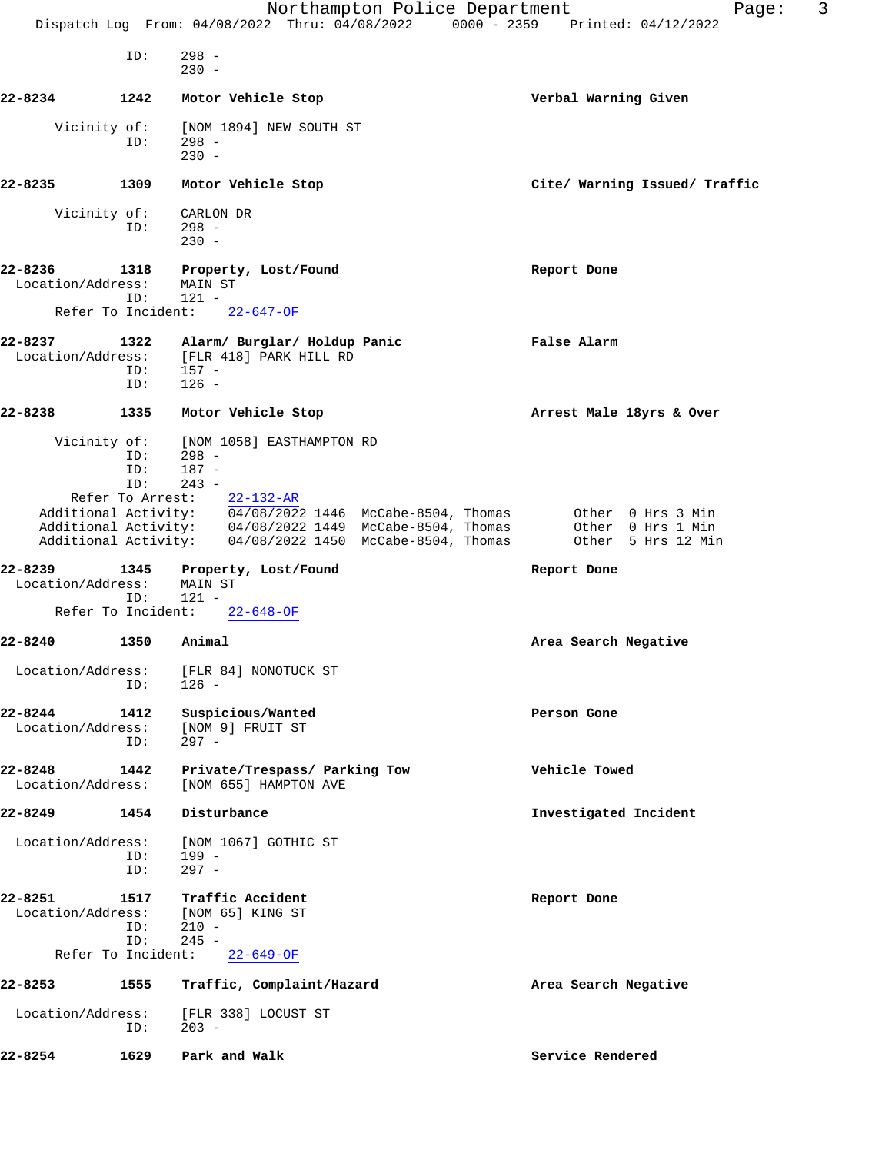|                                                    |                                       | Northampton Police Department<br>Dispatch Log From: 04/08/2022 Thru: 04/08/2022 0000 - 2359 Printed: 04/12/2022                                                                                                                                                   | 3<br>Page:                                                   |
|----------------------------------------------------|---------------------------------------|-------------------------------------------------------------------------------------------------------------------------------------------------------------------------------------------------------------------------------------------------------------------|--------------------------------------------------------------|
|                                                    | ID:                                   | $298 -$<br>$230 -$                                                                                                                                                                                                                                                |                                                              |
| 22-8234                                            | 1242                                  | Motor Vehicle Stop                                                                                                                                                                                                                                                | Verbal Warning Given                                         |
| Vicinity of:                                       | ID:                                   | [NOM 1894] NEW SOUTH ST<br>$298 -$<br>$230 -$                                                                                                                                                                                                                     |                                                              |
| 22-8235                                            | 1309                                  | Motor Vehicle Stop                                                                                                                                                                                                                                                | Cite/ Warning Issued/ Traffic                                |
| Vicinity of:                                       | ID:                                   | CARLON DR<br>$298 -$<br>$230 -$                                                                                                                                                                                                                                   |                                                              |
| 22-8236<br>Location/Address:<br>Refer To Incident: | 1318<br>ID:                           | Property, Lost/Found<br>MAIN ST<br>$121 -$<br>$22 - 647 - OF$                                                                                                                                                                                                     | Report Done                                                  |
| 22-8237<br>Location/Address:                       | 1322<br>ID:<br>ID:                    | Alarm/ Burglar/ Holdup Panic<br>[FLR 418] PARK HILL RD<br>157 -<br>$126 -$                                                                                                                                                                                        | False Alarm                                                  |
| 22-8238                                            | 1335                                  | Motor Vehicle Stop                                                                                                                                                                                                                                                | Arrest Male 18yrs & Over                                     |
| Vicinity of:                                       | ID:<br>ID:<br>ID:<br>Refer To Arrest: | [NOM 1058] EASTHAMPTON RD<br>$298 -$<br>$187 -$<br>$243 -$<br>$22 - 132 - AR$<br>Additional Activity: 04/08/2022 1446 McCabe-8504, Thomas<br>Additional Activity: 04/08/2022 1449 McCabe-8504, Thomas<br>Additional Activity: 04/08/2022 1450 McCabe-8504, Thomas | Other 0 Hrs 3 Min<br>Other 0 Hrs 1 Min<br>Other 5 Hrs 12 Min |
| 22-8239<br>Location/Address:                       | 1345<br>ID:                           | Property, Lost/Found<br>MAIN ST<br>$121 -$                                                                                                                                                                                                                        | Report Done                                                  |
| Refer To Incident:                                 |                                       | $22 - 648 - OF$                                                                                                                                                                                                                                                   |                                                              |
| 22-8240                                            | 1350                                  | Animal                                                                                                                                                                                                                                                            | Area Search Negative                                         |
| Location/Address:                                  | ID:                                   | [FLR 84] NONOTUCK ST<br>$126 -$                                                                                                                                                                                                                                   |                                                              |
| 22-8244<br>Location/Address:                       | 1412<br>ID:                           | Suspicious/Wanted<br>[NOM 9] FRUIT ST<br>$297 -$                                                                                                                                                                                                                  | Person Gone                                                  |
| 22-8248<br>Location/Address:                       | 1442                                  | Private/Trespass/ Parking Tow<br>[NOM 655] HAMPTON AVE                                                                                                                                                                                                            | Vehicle Towed                                                |
| 22-8249                                            | 1454                                  | Disturbance                                                                                                                                                                                                                                                       | Investigated Incident                                        |
| Location/Address:                                  | ID:<br>ID:                            | [NOM 1067] GOTHIC ST<br>$199 -$<br>$297 -$                                                                                                                                                                                                                        |                                                              |
| 22-8251<br>Location/Address:<br>Refer To Incident: | 1517<br>ID:<br>ID:                    | Traffic Accident<br>[NOM 65] KING ST<br>$210 -$<br>$245 -$<br>$22 - 649 - OF$                                                                                                                                                                                     | Report Done                                                  |
| 22-8253                                            | 1555                                  | Traffic, Complaint/Hazard                                                                                                                                                                                                                                         | Area Search Negative                                         |
| Location/Address:                                  | ID:                                   | [FLR 338] LOCUST ST<br>$203 -$                                                                                                                                                                                                                                    |                                                              |
| 22-8254                                            | 1629                                  | Park and Walk                                                                                                                                                                                                                                                     | Service Rendered                                             |
|                                                    |                                       |                                                                                                                                                                                                                                                                   |                                                              |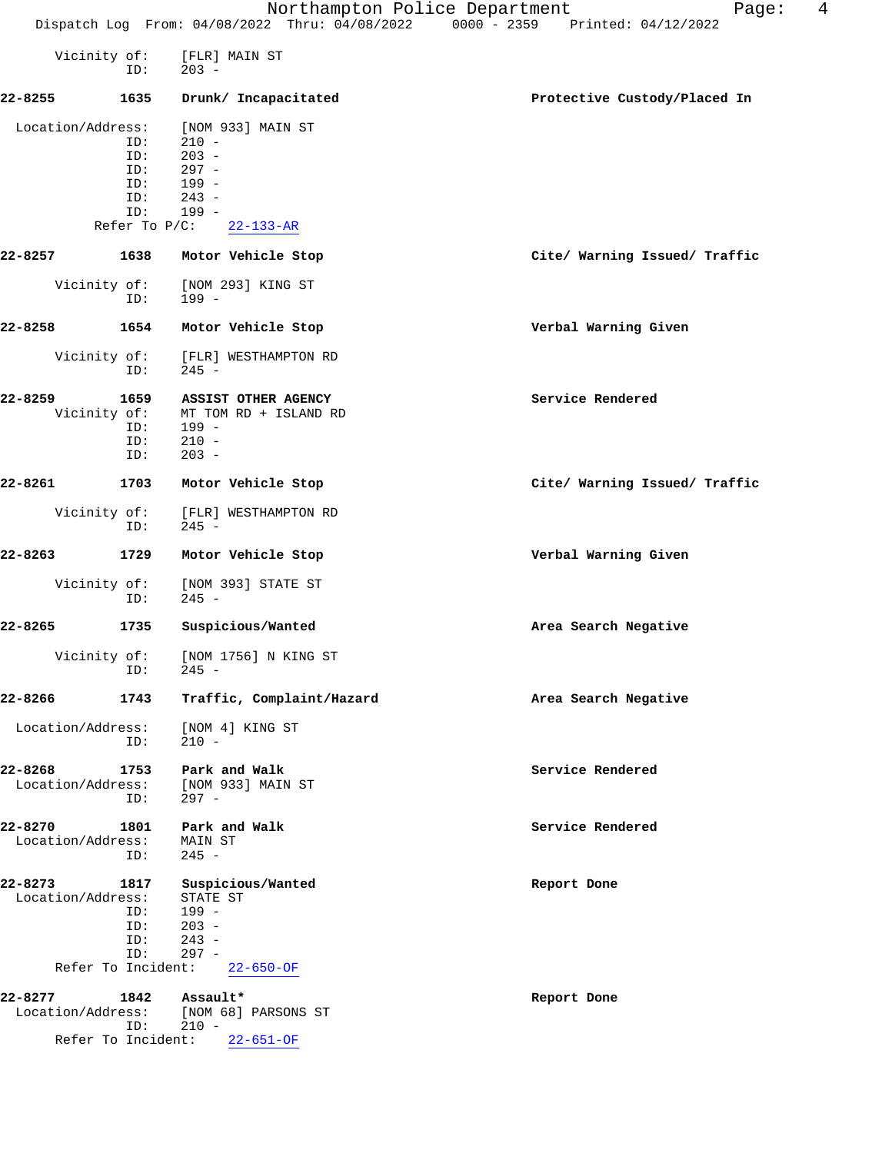|  |  | Northampton Police Department                  |  |  |                                 | Paqe: |  |
|--|--|------------------------------------------------|--|--|---------------------------------|-------|--|
|  |  | Dispatch Log From: 04/08/2022 Thru: 04/08/2022 |  |  | 0000 - 2359 Printed: 04/12/2022 |       |  |

|                              | Vicinity of:<br>ID:                                        | [FLR] MAIN ST<br>$203 -$                                                                             |                               |
|------------------------------|------------------------------------------------------------|------------------------------------------------------------------------------------------------------|-------------------------------|
| $22 - 8255$                  | 1635                                                       | Drunk/ Incapacitated                                                                                 | Protective Custody/Placed In  |
| Location/Address:            | ID:<br>ID:<br>ID:<br>ID:<br>ID:<br>ID:<br>Refer To $P/C$ : | [NOM 933] MAIN ST<br>$210 -$<br>$203 -$<br>$297 -$<br>199 -<br>$243 -$<br>$199 -$<br>$22 - 133 - AR$ |                               |
| 22-8257                      | 1638                                                       | Motor Vehicle Stop                                                                                   | Cite/ Warning Issued/ Traffic |
|                              | Vicinity of:<br>ID:                                        | [NOM 293] KING ST<br>199 -                                                                           |                               |
| 22-8258                      | 1654                                                       | Motor Vehicle Stop                                                                                   | Verbal Warning Given          |
|                              | Vicinity of:<br>ID:                                        | [FLR] WESTHAMPTON RD<br>$245 -$                                                                      |                               |
| 22-8259                      | 1659<br>Vicinity of:<br>ID:<br>ID:<br>ID:                  | ASSIST OTHER AGENCY<br>MT TOM RD + ISLAND RD<br>199 -<br>$210 -$<br>$203 -$                          | Service Rendered              |
| 22-8261                      | 1703                                                       | Motor Vehicle Stop                                                                                   | Cite/ Warning Issued/ Traffic |
|                              | Vicinity of:<br>ID:                                        | [FLR] WESTHAMPTON RD<br>$245 -$                                                                      |                               |
| 22-8263                      | 1729                                                       | Motor Vehicle Stop                                                                                   | Verbal Warning Given          |
|                              | Vicinity of:<br>ID:                                        | [NOM 393] STATE ST<br>$245 -$                                                                        |                               |
| 22-8265                      | 1735                                                       | Suspicious/Wanted                                                                                    | Area Search Negative          |
|                              | Vicinity of:<br>ID:                                        | [NOM 1756] N KING ST<br>$245 -$                                                                      |                               |
| 22-8266                      | 1743                                                       | Traffic, Complaint/Hazard                                                                            | Area Search Negative          |
| Location/Address:            | ID:                                                        | [NOM 4] KING ST<br>$210 -$                                                                           |                               |
| 22-8268<br>Location/Address: | 1753<br>ID:                                                | Park and Walk<br>[NOM 933] MAIN ST<br>$297 -$                                                        | Service Rendered              |
| 22-8270<br>Location/Address: | 1801<br>ID:                                                | Park and Walk<br>MAIN ST<br>$245 -$                                                                  | Service Rendered              |
| 22-8273<br>Location/Address: | 1817<br>ID:<br>ID:<br>ID:<br>ID:<br>Refer To Incident:     | Suspicious/Wanted<br>STATE ST<br>199 -<br>$203 -$<br>$243 -$<br>$297 -$<br>$22 - 650 - 0F$           | Report Done                   |
| 22-8277<br>Location/Address: | 1842<br>ID:<br>Refer To Incident:                          | Assault*<br>[NOM 68] PARSONS ST<br>$210 -$<br>$22 - 651 - OF$                                        | Report Done                   |